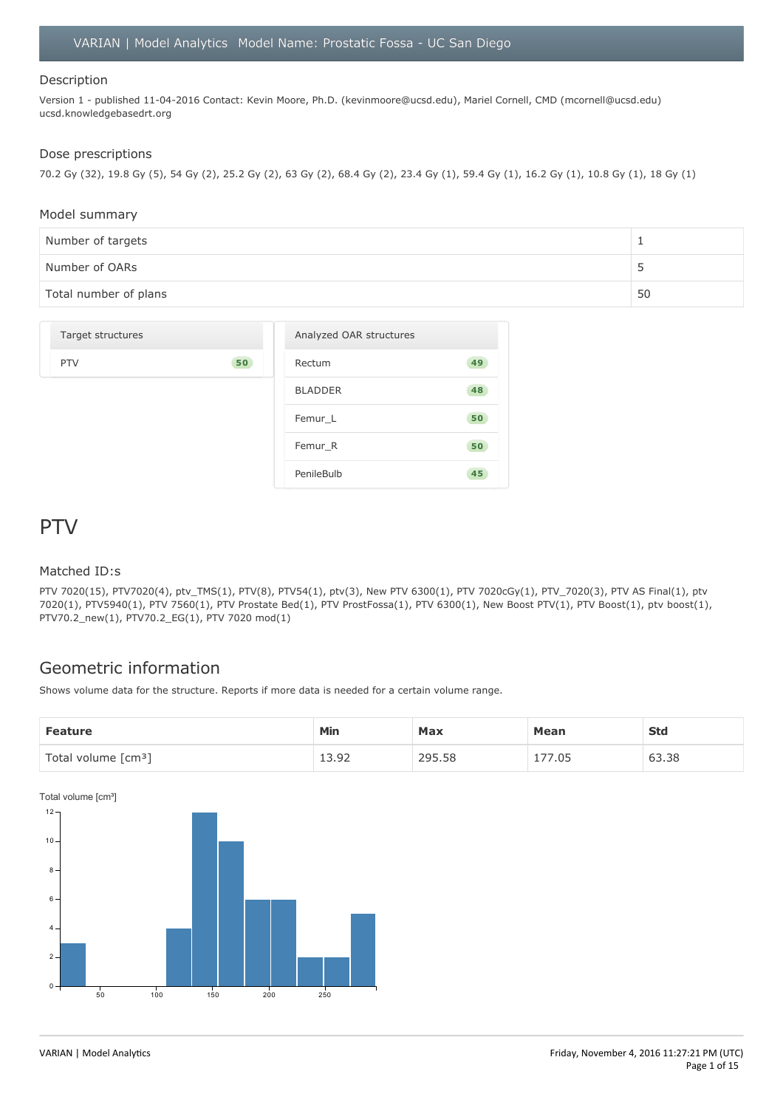#### Description

Version 1 - published 11-04-2016 Contact: Kevin Moore, Ph.D. (kevinmoore@ucsd.edu), Mariel Cornell, CMD (mcornell@ucsd.edu) ucsd.knowledgebasedrt.org

#### Dose prescriptions

70.2 Gy (32), 19.8 Gy (5), 54 Gy (2), 25.2 Gy (2), 63 Gy (2), 68.4 Gy (2), 23.4 Gy (1), 59.4 Gy (1), 16.2 Gy (1), 10.8 Gy (1), 18 Gy (1)

#### Model summary

| Number of targets     |    |
|-----------------------|----|
| Number of OARs        |    |
| Total number of plans | 50 |

| Target structures |    | Analyzed OAR structures |    |
|-------------------|----|-------------------------|----|
| <b>PTV</b>        | 50 | Rectum                  | 49 |
|                   |    | <b>BLADDER</b>          | 48 |
|                   |    | Femur_L                 | 50 |
|                   |    | Femur_R                 | 50 |
|                   |    | PenileBulb              | 45 |

### PTV

#### Matched ID:s

PTV 7020(15), PTV7020(4), ptv\_TMS(1), PTV(8), PTV54(1), ptv(3), New PTV 6300(1), PTV 7020cGy(1), PTV\_7020(3), PTV AS Final(1), ptv 7020(1), PTV5940(1), PTV 7560(1), PTV Prostate Bed(1), PTV ProstFossa(1), PTV 6300(1), New Boost PTV(1), PTV Boost(1), ptv boost(1), PTV70.2\_new(1), PTV70.2\_EG(1), PTV 7020 mod(1)

### Geometric information

Shows volume data for the structure. Reports if more data is needed for a certain volume range.

| <b>Feature</b>                  | Min           | Max    | <b>Mean</b>               | <b>Std</b> |
|---------------------------------|---------------|--------|---------------------------|------------|
| Total volume [cm <sup>3</sup> ] | . a-<br>エコ・シム | 295.58 | 7.05<br>$- -$<br><b>L</b> | 63.38      |

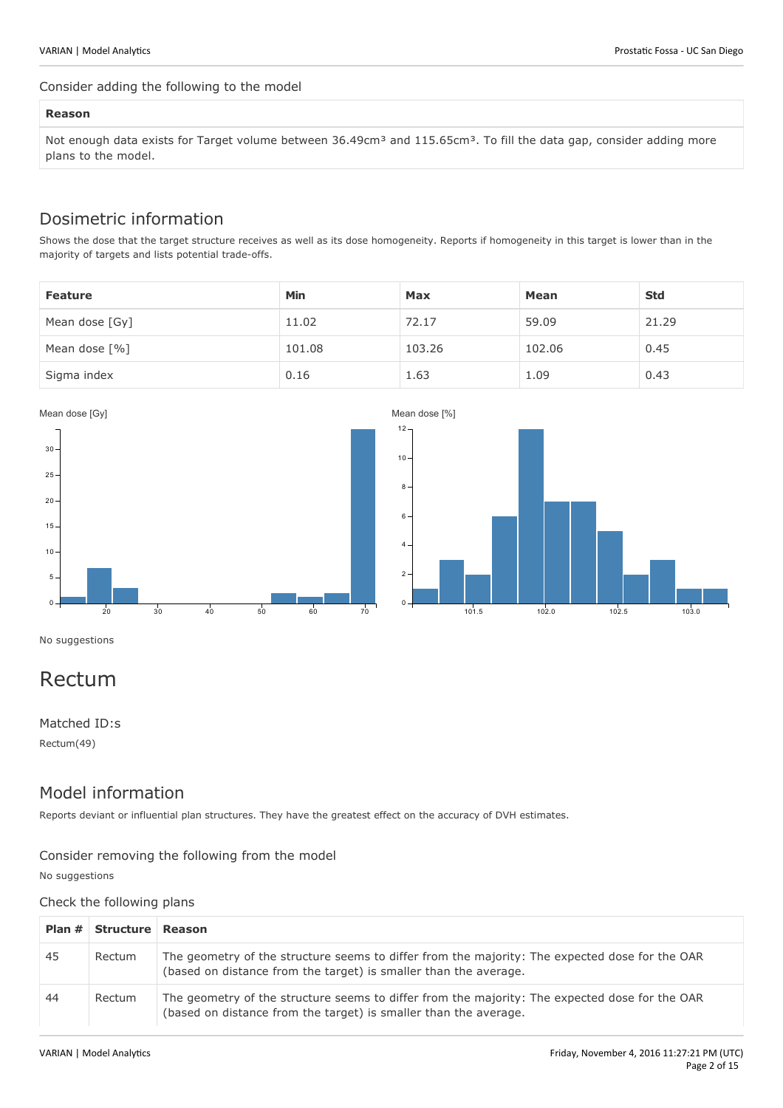#### Consider adding the following to the model

#### **Reason**

Not enough data exists for Target volume between 36.49cm<sup>3</sup> and 115.65cm<sup>3</sup>. To fill the data gap, consider adding more plans to the model.

### Dosimetric information

Shows the dose that the target structure receives as well as its dose homogeneity. Reports if homogeneity in this target is lower than in the majority of targets and lists potential trade-offs.

| <b>Feature</b> | <b>Min</b> | Max    | Mean   | <b>Std</b> |
|----------------|------------|--------|--------|------------|
| Mean dose [Gy] | 11.02      | 72.17  | 59.09  | 21.29      |
| Mean dose [%]  | 101.08     | 103.26 | 102.06 | 0.45       |
| Sigma index    | 0.16       | 1.63   | 1.09   | 0.43       |



No suggestions

# Rectum

Matched ID:s Rectum(49)

### Model information

Reports deviant or influential plan structures. They have the greatest effect on the accuracy of DVH estimates.

### Consider removing the following from the model

No suggestions

Check the following plans

|    | Plan # Structure Reason |                                                                                                                                                                    |
|----|-------------------------|--------------------------------------------------------------------------------------------------------------------------------------------------------------------|
| 45 | Rectum                  | The geometry of the structure seems to differ from the majority: The expected dose for the OAR<br>(based on distance from the target) is smaller than the average. |
| 44 | Rectum                  | The geometry of the structure seems to differ from the majority: The expected dose for the OAR<br>(based on distance from the target) is smaller than the average. |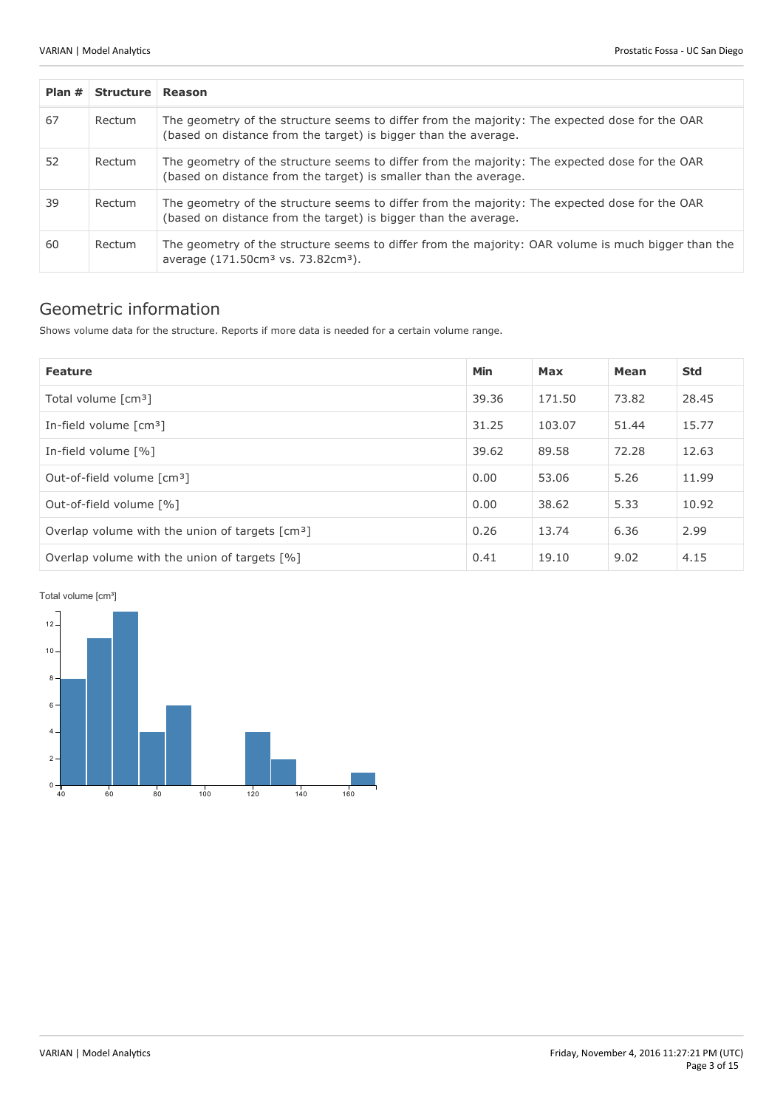| Plan # | Structure Reason |                                                                                                                                                                    |
|--------|------------------|--------------------------------------------------------------------------------------------------------------------------------------------------------------------|
| 67     | Rectum           | The geometry of the structure seems to differ from the majority: The expected dose for the OAR<br>(based on distance from the target) is bigger than the average.  |
| 52     | Rectum           | The geometry of the structure seems to differ from the majority: The expected dose for the OAR<br>(based on distance from the target) is smaller than the average. |
| 39     | Rectum           | The geometry of the structure seems to differ from the majority: The expected dose for the OAR<br>(based on distance from the target) is bigger than the average.  |
| 60     | Rectum           | The geometry of the structure seems to differ from the majority: OAR volume is much bigger than the<br>average (171.50cm <sup>3</sup> vs. 73.82cm <sup>3</sup> ).  |

### Geometric information

Shows volume data for the structure. Reports if more data is needed for a certain volume range.

| <b>Feature</b>                                              | <b>Min</b> | Max    | Mean  | <b>Std</b> |
|-------------------------------------------------------------|------------|--------|-------|------------|
| Total volume [cm <sup>3</sup> ]                             | 39.36      | 171.50 | 73.82 | 28.45      |
| In-field volume $\lceil$ cm <sup>3</sup> $\rceil$           |            | 103.07 | 51.44 | 15.77      |
| In-field volume [%]                                         | 39.62      | 89.58  | 72.28 | 12.63      |
| Out-of-field volume [cm <sup>3</sup> ]                      | 0.00       | 53.06  | 5.26  | 11.99      |
| Out-of-field volume [%]                                     | 0.00       | 38.62  | 5.33  | 10.92      |
| Overlap volume with the union of targets [cm <sup>3</sup> ] | 0.26       | 13.74  | 6.36  | 2.99       |
| Overlap volume with the union of targets [%]                | 0.41       | 19.10  | 9.02  | 4.15       |

Total volume [cm<sup>3</sup>]

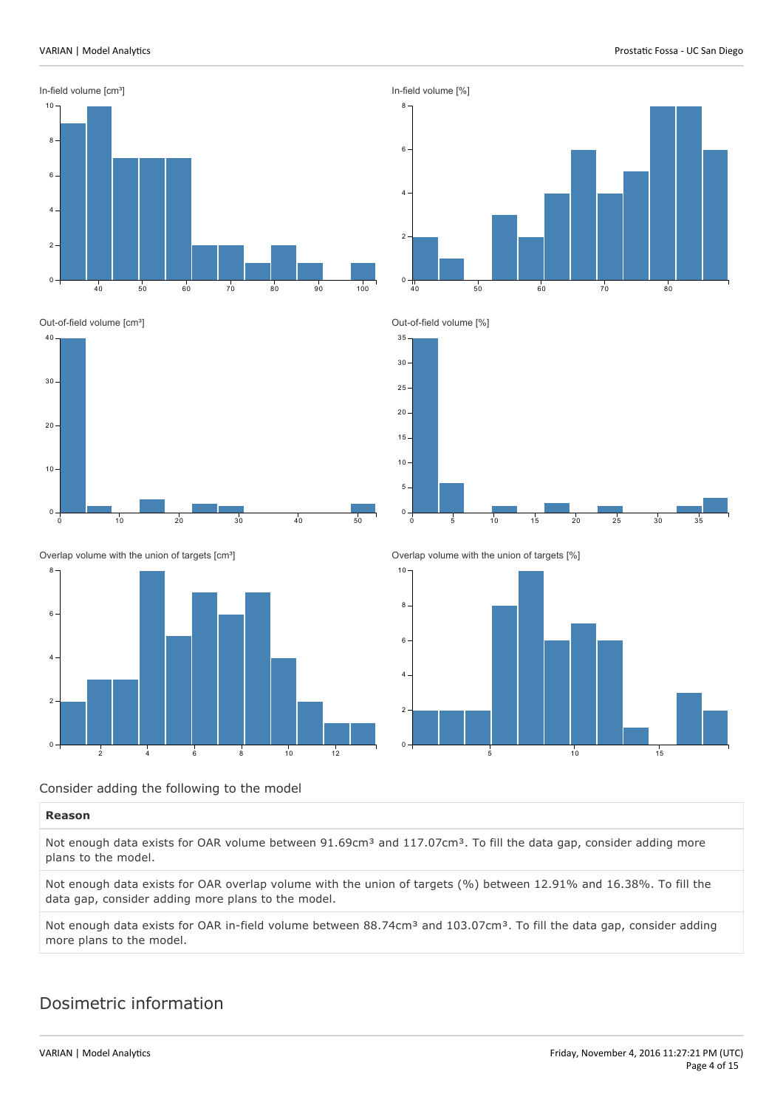

#### Consider adding the following to the model

#### **Reason**

Not enough data exists for OAR volume between 91.69cm<sup>3</sup> and 117.07cm<sup>3</sup>. To fill the data gap, consider adding more plans to the model.

Not enough data exists for OAR overlap volume with the union of targets (%) between 12.91% and 16.38%. To fill the data gap, consider adding more plans to the model.

Not enough data exists for OAR in-field volume between 88.74cm<sup>3</sup> and 103.07cm<sup>3</sup>. To fill the data gap, consider adding more plans to the model.

### Dosimetric information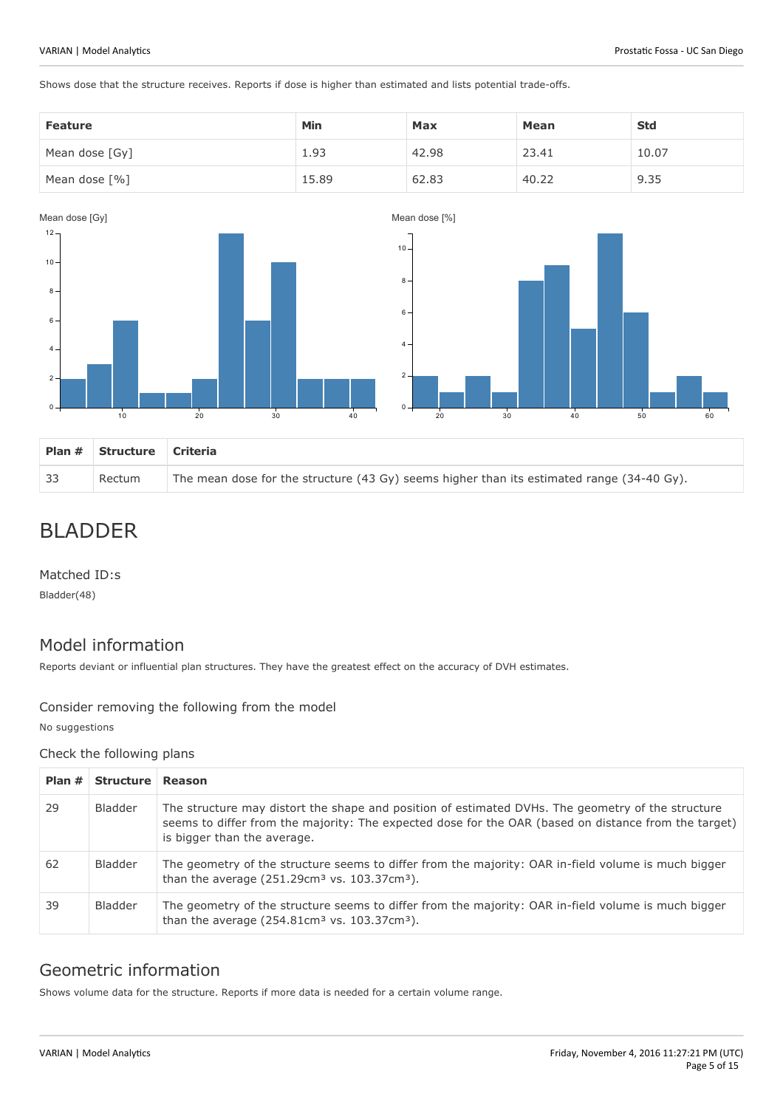Shows dose that the structure receives. Reports if dose is higher than estimated and lists potential trade-offs.

| <b>Feature</b>  | Min   | Max   | Mean  | <b>Std</b> |
|-----------------|-------|-------|-------|------------|
| Mean dose [Gy]  | 1.93  | 42.98 | 23.41 | 10.07      |
| Mean dose $[%]$ | 15.89 | 62.83 | 40.22 | 9.35       |



# BLADDER

Matched ID:s

Bladder(48)

### Model information

Reports deviant or influential plan structures. They have the greatest effect on the accuracy of DVH estimates.

#### Consider removing the following from the model

No suggestions

#### Check the following plans

| Plan $#$ | Structure Reason |                                                                                                                                                                                                                                          |
|----------|------------------|------------------------------------------------------------------------------------------------------------------------------------------------------------------------------------------------------------------------------------------|
| 29       | Bladder          | The structure may distort the shape and position of estimated DVHs. The geometry of the structure<br>seems to differ from the majority: The expected dose for the OAR (based on distance from the target)<br>is bigger than the average. |
| 62       | Bladder          | The geometry of the structure seems to differ from the majority: OAR in-field volume is much bigger<br>than the average $(251.29cm3$ vs. 103.37cm <sup>3</sup> ).                                                                        |
| 39       | <b>Bladder</b>   | The geometry of the structure seems to differ from the majority: OAR in-field volume is much bigger<br>than the average $(254.81cm3$ vs. 103.37cm <sup>3</sup> ).                                                                        |

### Geometric information

Shows volume data for the structure. Reports if more data is needed for a certain volume range.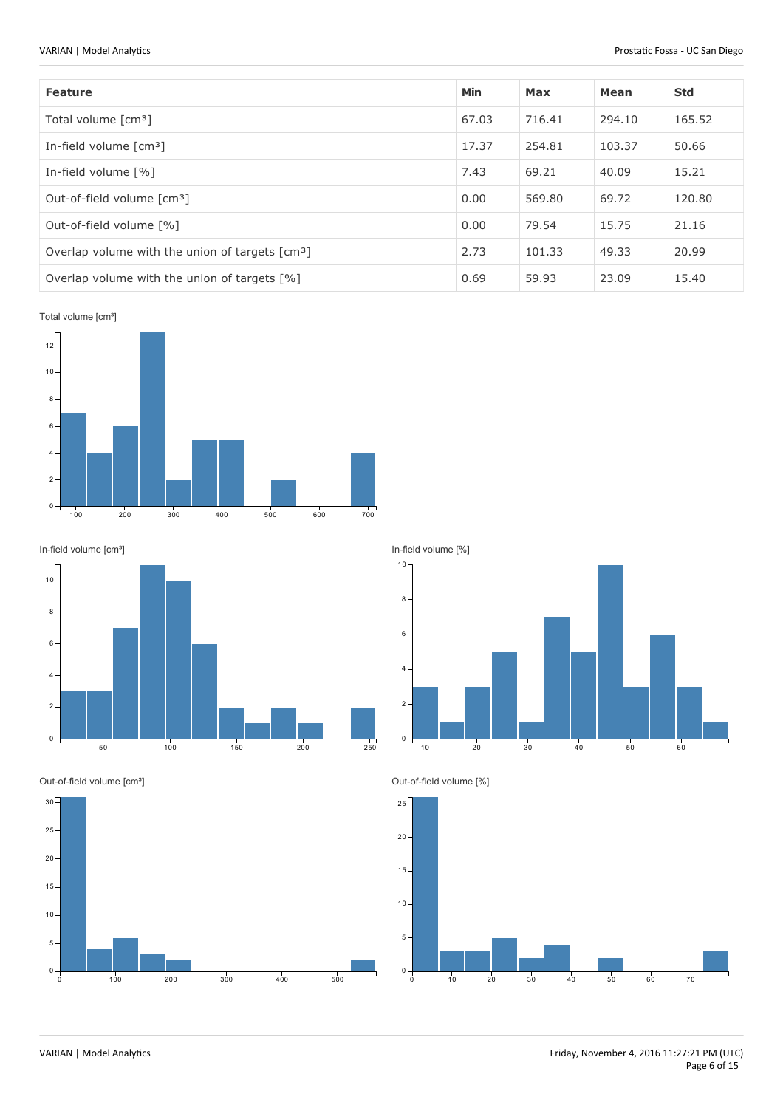| <b>Feature</b>                                              | Min   | Max    | Mean   | <b>Std</b> |
|-------------------------------------------------------------|-------|--------|--------|------------|
| Total volume [cm <sup>3</sup> ]                             | 67.03 | 716.41 | 294.10 | 165.52     |
| In-field volume $\lceil$ cm <sup>3</sup> $\rceil$           | 17.37 | 254.81 | 103.37 | 50.66      |
| In-field volume [%]                                         | 7.43  | 69.21  | 40.09  | 15.21      |
| Out-of-field volume [cm <sup>3</sup> ]                      | 0.00  | 569.80 | 69.72  | 120.80     |
| Out-of-field volume [%]                                     | 0.00  | 79.54  | 15.75  | 21.16      |
| Overlap volume with the union of targets [cm <sup>3</sup> ] | 2.73  | 101.33 | 49.33  | 20.99      |
| Overlap volume with the union of targets [%]                | 0.69  | 59.93  | 23.09  | 15.40      |

Total volume [cm<sup>3</sup>]





Out-of-field volume [cm<sup>3</sup>]



In-field volume [%]



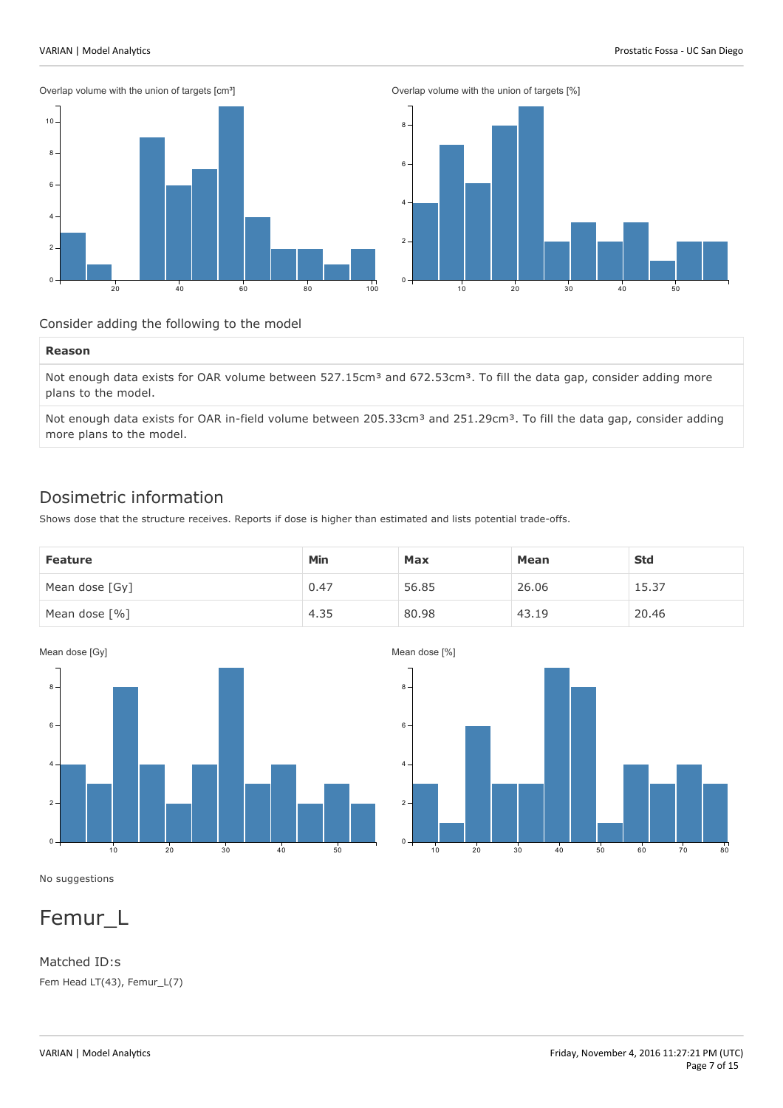Overlap volume with the union of targets [cm<sup>3</sup>]





Consider adding the following to the model

#### **Reason**

Not enough data exists for OAR volume between 527.15cm<sup>3</sup> and 672.53cm<sup>3</sup>. To fill the data gap, consider adding more plans to the model.

Not enough data exists for OAR in-field volume between 205.33cm<sup>3</sup> and 251.29cm<sup>3</sup>. To fill the data gap, consider adding more plans to the model.

### Dosimetric information

Shows dose that the structure receives. Reports if dose is higher than estimated and lists potential trade-offs.

| <b>Feature</b>               | Min  | Max   | <b>Mean</b> | <b>Std</b> |
|------------------------------|------|-------|-------------|------------|
| Mean dose [Gy]               | 0.47 | 56.85 | 26.06       | 15.37      |
| Mean dose $\lceil \% \rceil$ | 4.35 | 80.98 | 43.19       | 20.46      |



Mean dose [%]



No suggestions

## Femur\_L

Matched ID:s Fem Head LT(43), Femur\_L(7)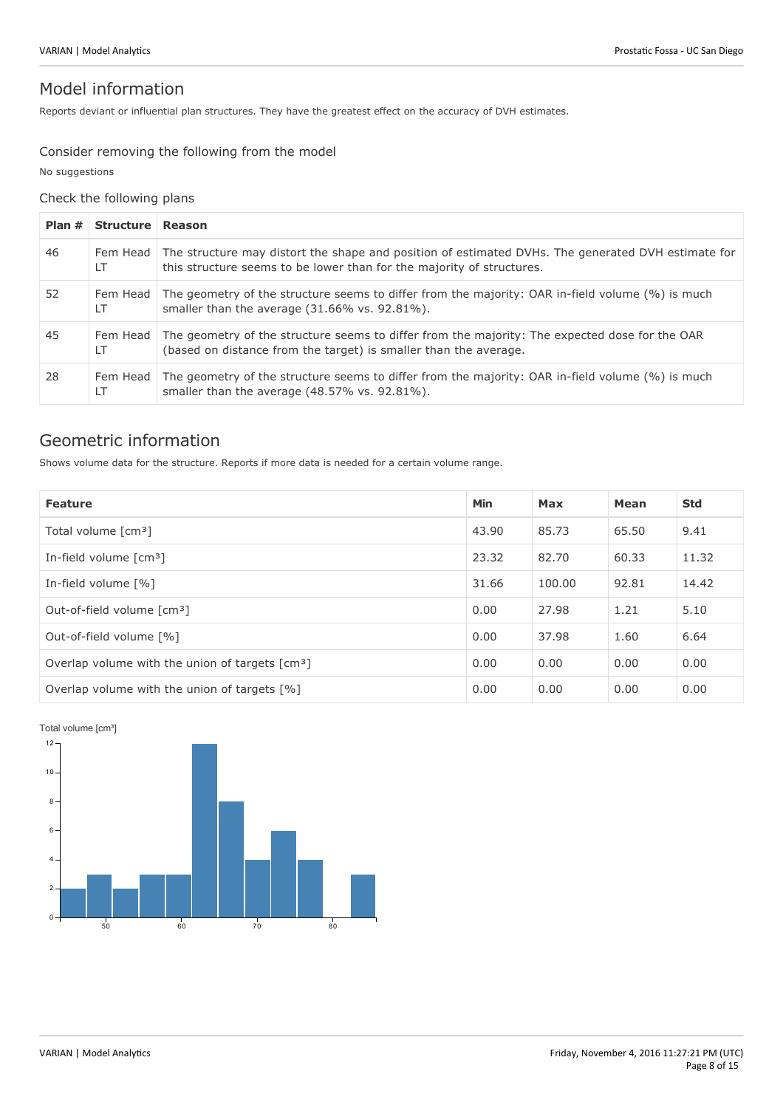### Model information

Reports deviant or influential plan structures. They have the greatest effect on the accuracy of DVH estimates.

#### Consider removing the following from the model

No suggestions

### Check the following plans

| Plan # | Structure Reason |                                                                                                                                                                             |
|--------|------------------|-----------------------------------------------------------------------------------------------------------------------------------------------------------------------------|
| 46     | Fem Head<br>LT   | The structure may distort the shape and position of estimated DVHs. The generated DVH estimate for<br>this structure seems to be lower than for the majority of structures. |
| 52     | Fem Head<br>LT.  | The geometry of the structure seems to differ from the majority: OAR in-field volume (%) is much<br>smaller than the average (31.66% vs. 92.81%).                           |
| 45     | Fem Head<br>LT   | The geometry of the structure seems to differ from the majority: The expected dose for the OAR<br>(based on distance from the target) is smaller than the average.          |
| 28     | Fem Head<br>LT   | The geometry of the structure seems to differ from the majority: OAR in-field volume (%) is much<br>smaller than the average (48.57% vs. 92.81%).                           |

### Geometric information

Shows volume data for the structure. Reports if more data is needed for a certain volume range.

| <b>Feature</b>                                              | <b>Min</b> | Max    | Mean  | <b>Std</b> |
|-------------------------------------------------------------|------------|--------|-------|------------|
| Total volume [cm <sup>3</sup> ]                             | 43.90      | 85.73  | 65.50 | 9.41       |
| In-field volume $\lceil$ cm <sup>3</sup> $\rceil$           | 23.32      | 82.70  | 60.33 | 11.32      |
| In-field volume [%]                                         | 31.66      | 100.00 | 92.81 | 14.42      |
| Out-of-field volume [cm <sup>3</sup> ]                      | 0.00       | 27.98  | 1.21  | 5.10       |
| Out-of-field volume [%]                                     | 0.00       | 37.98  | 1.60  | 6.64       |
| Overlap volume with the union of targets [cm <sup>3</sup> ] | 0.00       | 0.00   | 0.00  | 0.00       |
| Overlap volume with the union of targets [%]                | 0.00       | 0.00   | 0.00  | 0.00       |

Total volume [cm<sup>3</sup>]

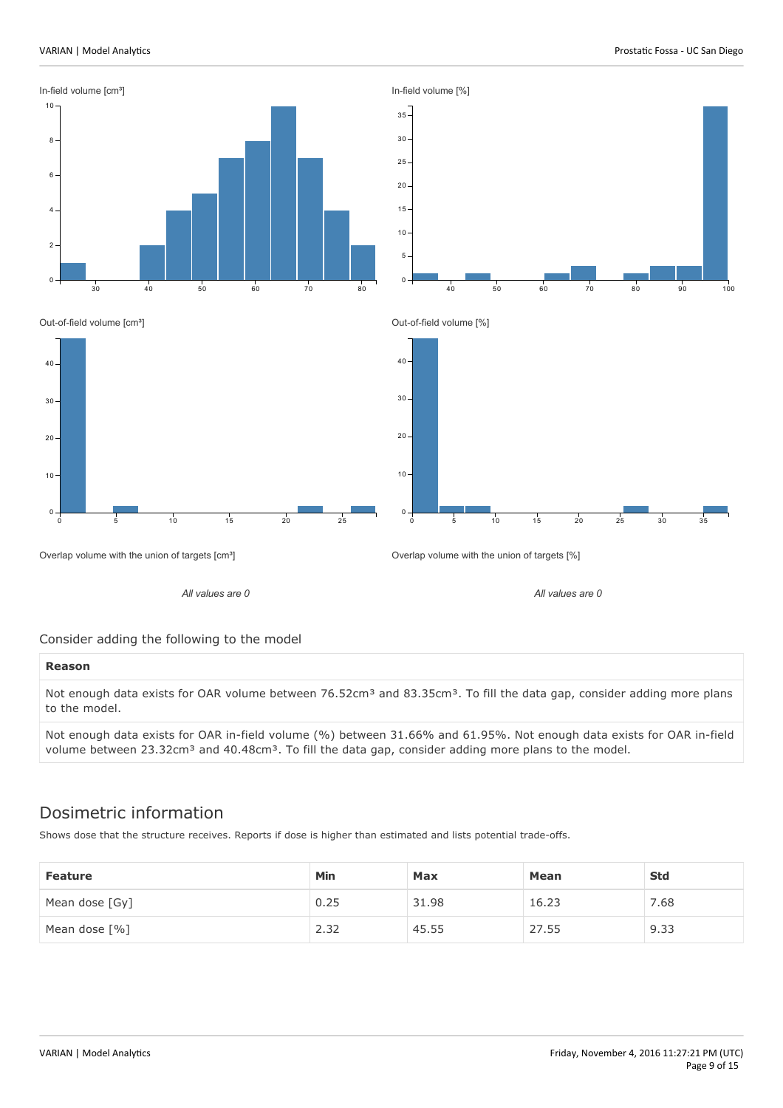



Out-of-field volume [cm<sup>3</sup>]



*All values are 0*

Out-of-field volume [%]



*All values are 0*

Overlap volume with the union of targets [cm<sup>3</sup>]

Overlap volume with the union of targets [%]

Consider adding the following to the model

#### **Reason**

Not enough data exists for OAR volume between 76.52cm<sup>3</sup> and 83.35cm<sup>3</sup>. To fill the data gap, consider adding more plans to the model.

Not enough data exists for OAR in-field volume (%) between 31.66% and 61.95%. Not enough data exists for OAR in-field volume between 23.32cm<sup>3</sup> and 40.48cm<sup>3</sup>. To fill the data gap, consider adding more plans to the model.

### Dosimetric information

Shows dose that the structure receives. Reports if dose is higher than estimated and lists potential trade-offs.

| <b>Feature</b>  | Min  | Max   | Mean  | <b>Std</b> |
|-----------------|------|-------|-------|------------|
| Mean dose [Gy]  | 0.25 | 31.98 | 16.23 | 7.68       |
| Mean dose $[%]$ | 2.32 | 45.55 | 27.55 | 9.33       |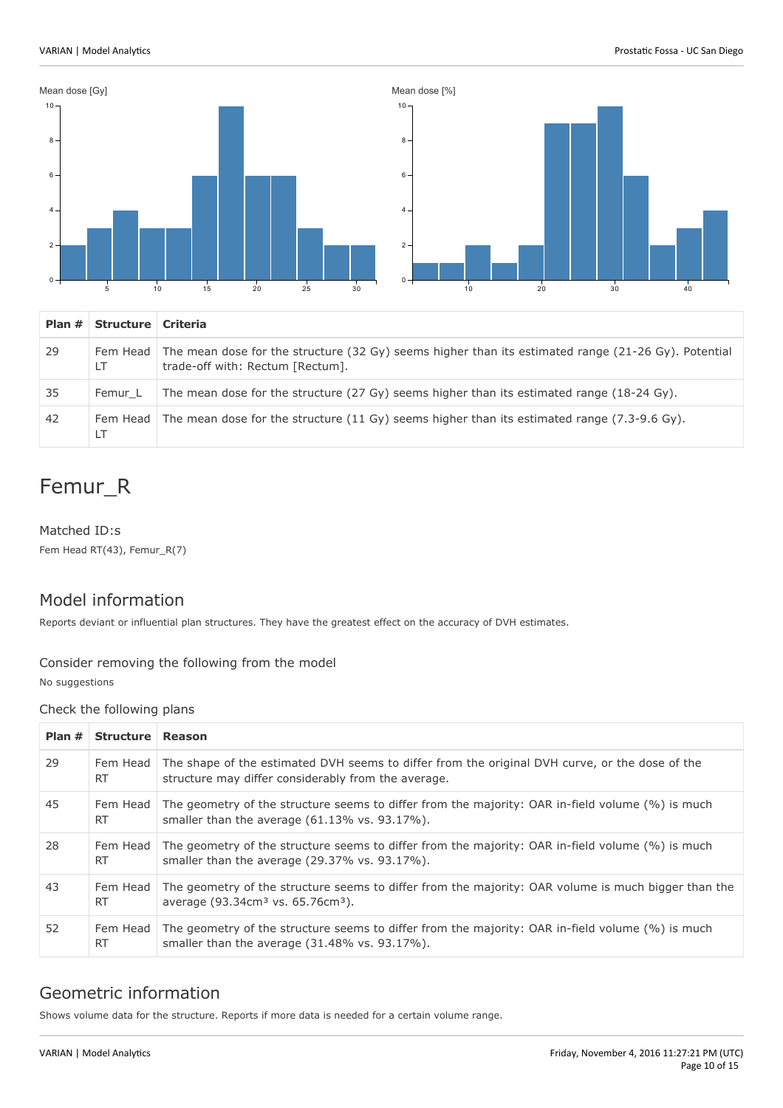

| Plan $#$ | Structure   Criteria |                                                                                                                                                    |
|----------|----------------------|----------------------------------------------------------------------------------------------------------------------------------------------------|
| 29       | LT                   | Fem Head   The mean dose for the structure (32 Gy) seems higher than its estimated range (21-26 Gy). Potential<br>trade-off with: Rectum [Rectum]. |
| 35       | Femur L              | The mean dose for the structure $(27 \text{ Gy})$ seems higher than its estimated range $(18-24 \text{ Gy})$ .                                     |
| 42       | Fem Head<br>LT       | The mean dose for the structure $(11 \text{ Gy})$ seems higher than its estimated range $(7.3\n-9.6 \text{ Gy})$ .                                 |

# Femur\_R

Matched ID:s Fem Head RT(43), Femur\_R(7)

### Model information

Reports deviant or influential plan structures. They have the greatest effect on the accuracy of DVH estimates.

### Consider removing the following from the model

No suggestions

#### Check the following plans

| Plan # | Structure Reason      |                                                                                                                                                                  |
|--------|-----------------------|------------------------------------------------------------------------------------------------------------------------------------------------------------------|
| 29     | Fem Head<br>RT.       | The shape of the estimated DVH seems to differ from the original DVH curve, or the dose of the<br>structure may differ considerably from the average.            |
| 45     | Fem Head<br><b>RT</b> | The geometry of the structure seems to differ from the majority: OAR in-field volume (%) is much<br>smaller than the average $(61.13\% \text{ vs. } 93.17\%)$ .  |
| 28     | Fem Head<br><b>RT</b> | The geometry of the structure seems to differ from the majority: OAR in-field volume (%) is much<br>smaller than the average (29.37% vs. 93.17%).                |
| 43     | Fem Head<br><b>RT</b> | The geometry of the structure seems to differ from the majority: OAR volume is much bigger than the<br>average (93.34cm <sup>3</sup> vs. 65.76cm <sup>3</sup> ). |
| 52     | Fem Head<br><b>RT</b> | The geometry of the structure seems to differ from the majority: OAR in-field volume (%) is much<br>smaller than the average (31.48% vs. 93.17%).                |

### Geometric information

Shows volume data for the structure. Reports if more data is needed for a certain volume range.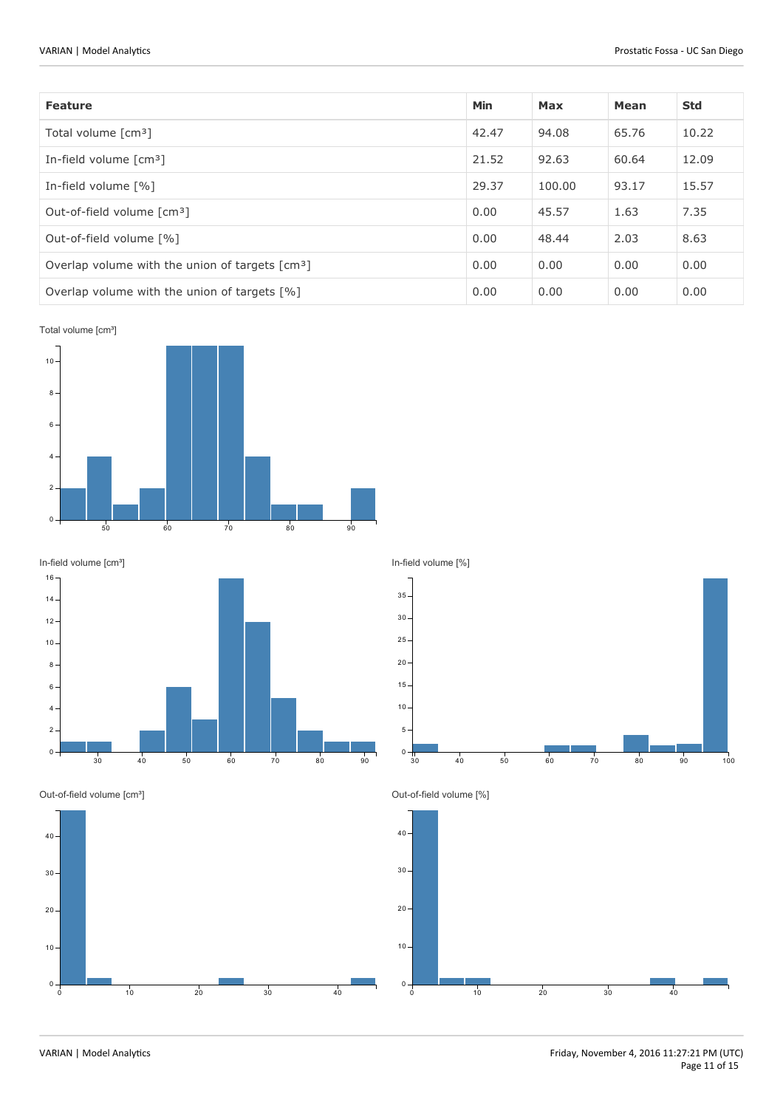| <b>Feature</b>                                              | Min   | Max    | Mean  | <b>Std</b> |
|-------------------------------------------------------------|-------|--------|-------|------------|
| Total volume [cm <sup>3</sup> ]                             | 42.47 | 94.08  | 65.76 | 10.22      |
| In-field volume $\lceil$ cm <sup>3</sup> $\rceil$           | 21.52 | 92.63  | 60.64 | 12.09      |
| In-field volume [%]                                         | 29.37 | 100.00 | 93.17 | 15.57      |
| Out-of-field volume [cm <sup>3</sup> ]                      | 0.00  | 45.57  | 1.63  | 7.35       |
| Out-of-field volume [%]                                     |       | 48.44  | 2.03  | 8.63       |
| Overlap volume with the union of targets [cm <sup>3</sup> ] | 0.00  | 0.00   | 0.00  | 0.00       |
| Overlap volume with the union of targets [%]                | 0.00  | 0.00   | 0.00  | 0.00       |

Total volume [cm<sup>3</sup>]





In-field volume [%]



Out-of-field volume [cm<sup>3</sup>]



Out-of-field volume [%]

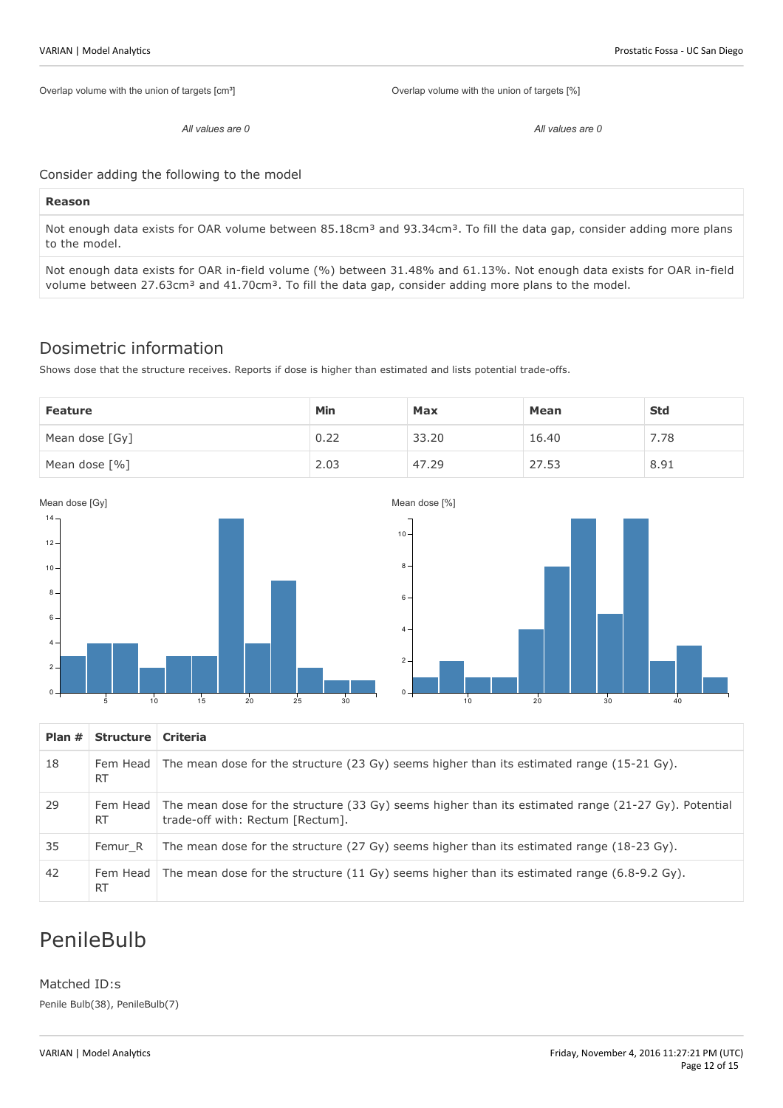Overlap volume with the union of targets [cm<sup>3</sup>]

Overlap volume with the union of targets [%]

*All values are 0*

*All values are 0*

Consider adding the following to the model

#### **Reason**

Not enough data exists for OAR volume between 85.18cm<sup>3</sup> and 93.34cm<sup>3</sup>. To fill the data gap, consider adding more plans to the model.

Not enough data exists for OAR in-field volume (%) between 31.48% and 61.13%. Not enough data exists for OAR in-field volume between 27.63cm<sup>3</sup> and 41.70cm<sup>3</sup>. To fill the data gap, consider adding more plans to the model.

### Dosimetric information

Shows dose that the structure receives. Reports if dose is higher than estimated and lists potential trade-offs.

| <b>Feature</b> | Min  | Max   | Mean  | <b>Std</b> |
|----------------|------|-------|-------|------------|
| Mean dose [Gy] | 0.22 | 33.20 | 16.40 | 7.78       |
| Mean dose [%]  | 2.03 | 47.29 | 27.53 | 8.91       |



| Plan # | Structure   Criteria  |                                                                                                                                                  |
|--------|-----------------------|--------------------------------------------------------------------------------------------------------------------------------------------------|
| 18     | <b>RT</b>             | Fem Head The mean dose for the structure (23 Gy) seems higher than its estimated range (15-21 Gy).                                               |
| 29     | <b>RT</b>             | Fem Head The mean dose for the structure (33 Gy) seems higher than its estimated range (21-27 Gy). Potential<br>trade-off with: Rectum [Rectum]. |
| 35     | Femur R               | The mean dose for the structure $(27 \text{ Gy})$ seems higher than its estimated range $(18-23 \text{ Gy})$ .                                   |
| 42     | Fem Head<br><b>RT</b> | The mean dose for the structure $(11 \text{ Gy})$ seems higher than its estimated range $(6.8\n-9.2 \text{ Gy})$ .                               |

# PenileBulb

Matched ID:s Penile Bulb(38), PenileBulb(7)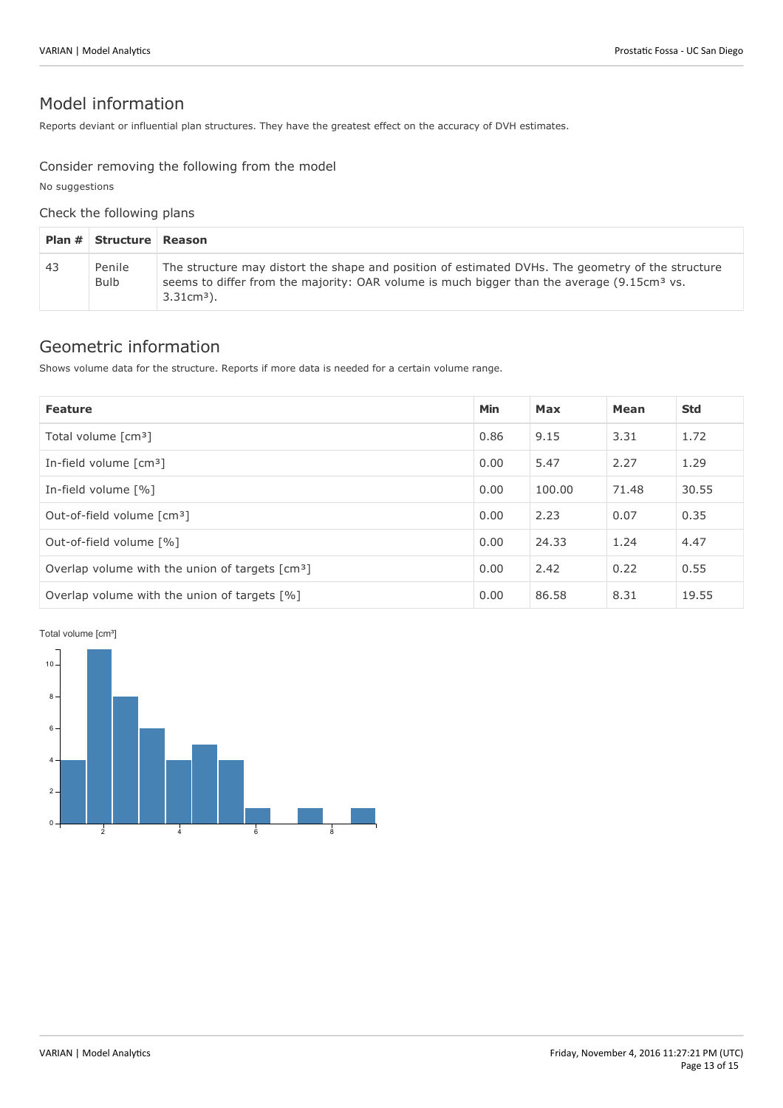### Model information

Reports deviant or influential plan structures. They have the greatest effect on the accuracy of DVH estimates.

#### Consider removing the following from the model

No suggestions

#### Check the following plans

|    | <b>Plan # Structure Reason</b> |                                                                                                                                                                                                                             |
|----|--------------------------------|-----------------------------------------------------------------------------------------------------------------------------------------------------------------------------------------------------------------------------|
| 43 | Penile<br><b>Bulb</b>          | The structure may distort the shape and position of estimated DVHs. The geometry of the structure<br>seems to differ from the majority: OAR volume is much bigger than the average (9.15cm <sup>3</sup> vs.<br>$3.31cm3$ ). |

### Geometric information

Shows volume data for the structure. Reports if more data is needed for a certain volume range.

| <b>Feature</b>                                              | <b>Min</b> | <b>Max</b> | Mean  | <b>Std</b> |
|-------------------------------------------------------------|------------|------------|-------|------------|
| Total volume $\lceil$ cm <sup>3</sup> $\rceil$              | 0.86       | 9.15       | 3.31  | 1.72       |
| In-field volume [cm <sup>3</sup> ]                          | 0.00       | 5.47       | 2.27  | 1.29       |
| In-field volume [%]                                         | 0.00       | 100.00     | 71.48 | 30.55      |
| Out-of-field volume [cm <sup>3</sup> ]                      | 0.00       | 2.23       | 0.07  | 0.35       |
| Out-of-field volume [%]                                     |            | 24.33      | 1.24  | 4.47       |
| Overlap volume with the union of targets [cm <sup>3</sup> ] | 0.00       | 2.42       | 0.22  | 0.55       |
| Overlap volume with the union of targets [%]                | 0.00       | 86.58      | 8.31  | 19.55      |

#### Total volume [cm<sup>3</sup>]

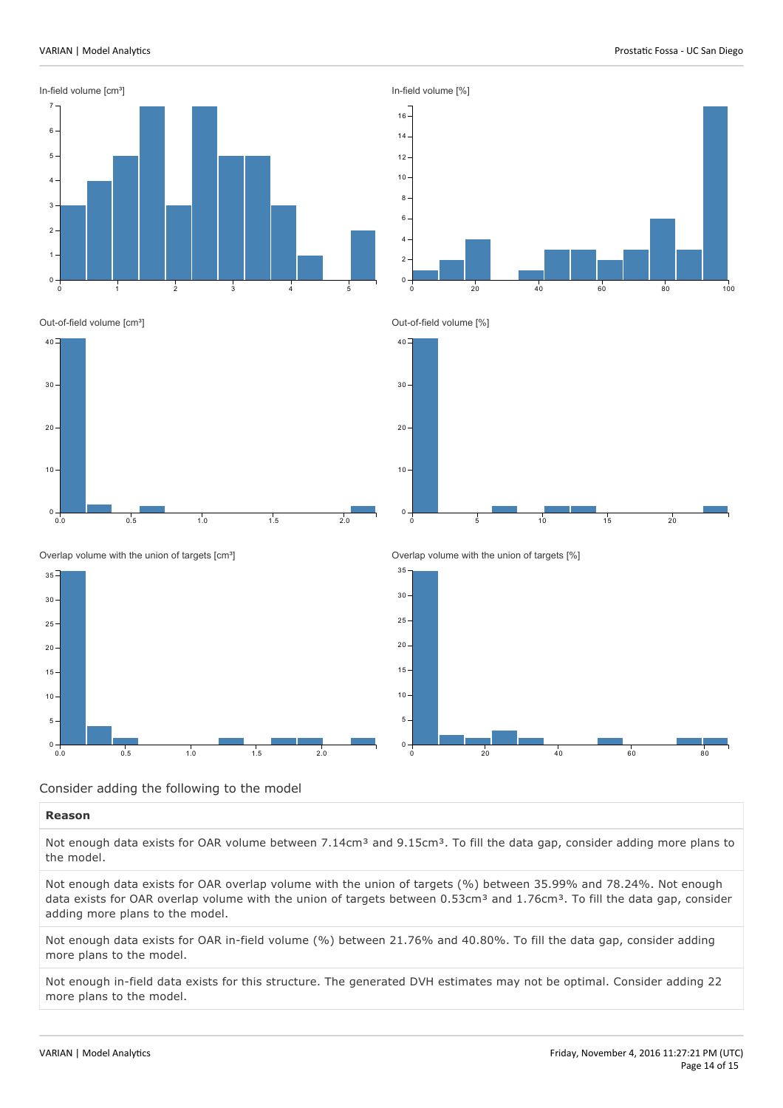



0 20 40 60 80 100

Out-of-field volume [cm<sup>3</sup>]







Overlap volume with the union of targets [cm<sup>3</sup>]







#### Consider adding the following to the model

#### **Reason**

Not enough data exists for OAR volume between 7.14cm<sup>3</sup> and 9.15cm<sup>3</sup>. To fill the data gap, consider adding more plans to the model.

Not enough data exists for OAR overlap volume with the union of targets (%) between 35.99% and 78.24%. Not enough data exists for OAR overlap volume with the union of targets between 0.53cm<sup>3</sup> and 1.76cm<sup>3</sup>. To fill the data gap, consider adding more plans to the model.

Not enough data exists for OAR in-field volume (%) between 21.76% and 40.80%. To fill the data gap, consider adding more plans to the model.

Not enough in-field data exists for this structure. The generated DVH estimates may not be optimal. Consider adding 22 more plans to the model.